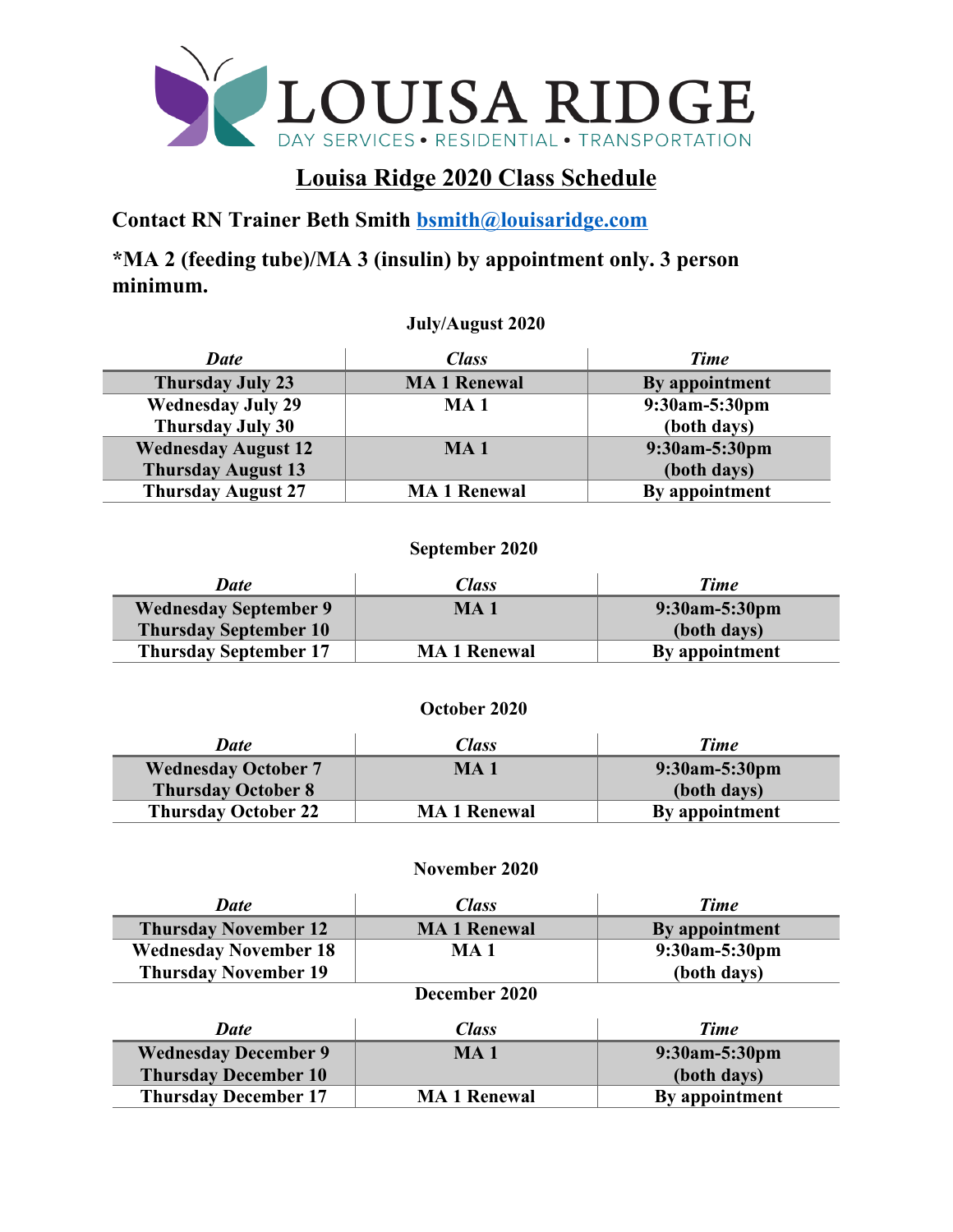

## **Louisa Ridge 2020 Class Schedule**

**Contact RN Trainer Beth Smith bsmith@louisaridge.com**

**\*MA 2 (feeding tube)/MA 3 (insulin) by appointment only. 3 person minimum.** 

**July/August 2020**

| <b>Date</b>                | <i>Class</i>        | Time           |
|----------------------------|---------------------|----------------|
| <b>Thursday July 23</b>    | <b>MA 1 Renewal</b> | By appointment |
| <b>Wednesday July 29</b>   | <b>MA1</b>          | 9:30am-5:30pm  |
| <b>Thursday July 30</b>    |                     | (both days)    |
| <b>Wednesday August 12</b> | MA <sub>1</sub>     | 9:30am-5:30pm  |
| <b>Thursday August 13</b>  |                     | (both days)    |
| <b>Thursday August 27</b>  | <b>MA 1 Renewal</b> | By appointment |

## **September 2020**

| <b>Date</b>                  | <i><b>Class</b></i> | Time             |
|------------------------------|---------------------|------------------|
| <b>Wednesday September 9</b> | MA <sub>1</sub>     | $9:30$ am-5:30pm |
| <b>Thursday September 10</b> |                     | (both days)      |
| <b>Thursday September 17</b> | <b>MA 1 Renewal</b> | By appointment   |

## **October 2020**

| <b>Date</b>                | <i>Class</i>        | <b>Time</b>    |
|----------------------------|---------------------|----------------|
| <b>Wednesday October 7</b> | MA <sub>1</sub>     | 9:30am-5:30pm  |
| <b>Thursday October 8</b>  |                     | (both days)    |
| <b>Thursday October 22</b> | <b>MA 1 Renewal</b> | By appointment |

## **November 2020**

| Date                         | <b>Class</b>       | <b>Time</b>    |  |
|------------------------------|--------------------|----------------|--|
| <b>Thursday November 12</b>  | <b>MA1</b> Renewal | By appointment |  |
| <b>Wednesday November 18</b> | MA 1               | 9:30am-5:30pm  |  |
| <b>Thursday November 19</b>  |                    | (both days)    |  |
| December 2020                |                    |                |  |
| <b>Date</b>                  | <b>Class</b>       | <b>Time</b>    |  |
| <b>Wednesday December 9</b>  | MA <sub>1</sub>    | 9:30am-5:30pm  |  |
| <b>Thursday December 10</b>  |                    | (both days)    |  |
| <b>Thursday December 17</b>  | <b>MA1</b> Renewal | By appointment |  |